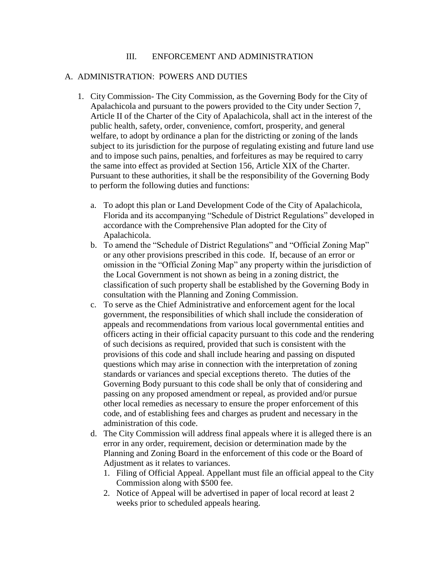### III. ENFORCEMENT AND ADMINISTRATION

### A. ADMINISTRATION: POWERS AND DUTIES

- 1. City Commission- The City Commission, as the Governing Body for the City of Apalachicola and pursuant to the powers provided to the City under Section 7, Article II of the Charter of the City of Apalachicola, shall act in the interest of the public health, safety, order, convenience, comfort, prosperity, and general welfare, to adopt by ordinance a plan for the districting or zoning of the lands subject to its jurisdiction for the purpose of regulating existing and future land use and to impose such pains, penalties, and forfeitures as may be required to carry the same into effect as provided at Section 156, Article XIX of the Charter. Pursuant to these authorities, it shall be the responsibility of the Governing Body to perform the following duties and functions:
	- a. To adopt this plan or Land Development Code of the City of Apalachicola, Florida and its accompanying "Schedule of District Regulations" developed in accordance with the Comprehensive Plan adopted for the City of Apalachicola.
	- b. To amend the "Schedule of District Regulations" and "Official Zoning Map" or any other provisions prescribed in this code. If, because of an error or omission in the "Official Zoning Map" any property within the jurisdiction of the Local Government is not shown as being in a zoning district, the classification of such property shall be established by the Governing Body in consultation with the Planning and Zoning Commission.
	- c. To serve as the Chief Administrative and enforcement agent for the local government, the responsibilities of which shall include the consideration of appeals and recommendations from various local governmental entities and officers acting in their official capacity pursuant to this code and the rendering of such decisions as required, provided that such is consistent with the provisions of this code and shall include hearing and passing on disputed questions which may arise in connection with the interpretation of zoning standards or variances and special exceptions thereto. The duties of the Governing Body pursuant to this code shall be only that of considering and passing on any proposed amendment or repeal, as provided and/or pursue other local remedies as necessary to ensure the proper enforcement of this code, and of establishing fees and charges as prudent and necessary in the administration of this code.
	- d. The City Commission will address final appeals where it is alleged there is an error in any order, requirement, decision or determination made by the Planning and Zoning Board in the enforcement of this code or the Board of Adjustment as it relates to variances.
		- 1. Filing of Official Appeal. Appellant must file an official appeal to the City Commission along with \$500 fee.
		- 2. Notice of Appeal will be advertised in paper of local record at least 2 weeks prior to scheduled appeals hearing.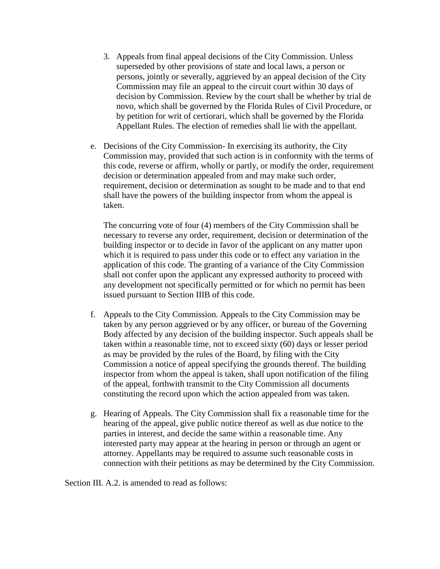- 3. Appeals from final appeal decisions of the City Commission. Unless superseded by other provisions of state and local laws, a person or persons, jointly or severally, aggrieved by an appeal decision of the City Commission may file an appeal to the circuit court within 30 days of decision by Commission. Review by the court shall be whether by trial de novo, which shall be governed by the Florida Rules of Civil Procedure, or by petition for writ of certiorari, which shall be governed by the Florida Appellant Rules. The election of remedies shall lie with the appellant.
- e. Decisions of the City Commission- In exercising its authority, the City Commission may, provided that such action is in conformity with the terms of this code, reverse or affirm, wholly or partly, or modify the order, requirement decision or determination appealed from and may make such order, requirement, decision or determination as sought to be made and to that end shall have the powers of the building inspector from whom the appeal is taken.

The concurring vote of four (4) members of the City Commission shall be necessary to reverse any order, requirement, decision or determination of the building inspector or to decide in favor of the applicant on any matter upon which it is required to pass under this code or to effect any variation in the application of this code. The granting of a variance of the City Commission shall not confer upon the applicant any expressed authority to proceed with any development not specifically permitted or for which no permit has been issued pursuant to Section IIIB of this code.

- f. Appeals to the City Commission. Appeals to the City Commission may be taken by any person aggrieved or by any officer, or bureau of the Governing Body affected by any decision of the building inspector. Such appeals shall be taken within a reasonable time, not to exceed sixty (60) days or lesser period as may be provided by the rules of the Board, by filing with the City Commission a notice of appeal specifying the grounds thereof. The building inspector from whom the appeal is taken, shall upon notification of the filing of the appeal, forthwith transmit to the City Commission all documents constituting the record upon which the action appealed from was taken.
- g. Hearing of Appeals. The City Commission shall fix a reasonable time for the hearing of the appeal, give public notice thereof as well as due notice to the parties in interest, and decide the same within a reasonable time. Any interested party may appear at the hearing in person or through an agent or attorney. Appellants may be required to assume such reasonable costs in connection with their petitions as may be determined by the City Commission.

Section III. A.2. is amended to read as follows: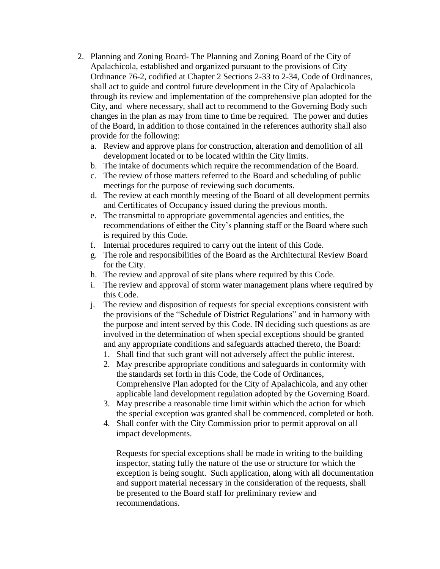- 2. Planning and Zoning Board- The Planning and Zoning Board of the City of Apalachicola, established and organized pursuant to the provisions of City Ordinance 76-2, codified at Chapter 2 Sections 2-33 to 2-34, Code of Ordinances, shall act to guide and control future development in the City of Apalachicola through its review and implementation of the comprehensive plan adopted for the City, and where necessary, shall act to recommend to the Governing Body such changes in the plan as may from time to time be required. The power and duties of the Board, in addition to those contained in the references authority shall also provide for the following:
	- a. Review and approve plans for construction, alteration and demolition of all development located or to be located within the City limits.
	- b. The intake of documents which require the recommendation of the Board.
	- c. The review of those matters referred to the Board and scheduling of public meetings for the purpose of reviewing such documents.
	- d. The review at each monthly meeting of the Board of all development permits and Certificates of Occupancy issued during the previous month.
	- e. The transmittal to appropriate governmental agencies and entities, the recommendations of either the City's planning staff or the Board where such is required by this Code.
	- f. Internal procedures required to carry out the intent of this Code.
	- g. The role and responsibilities of the Board as the Architectural Review Board for the City.
	- h. The review and approval of site plans where required by this Code.
	- i. The review and approval of storm water management plans where required by this Code.
	- j. The review and disposition of requests for special exceptions consistent with the provisions of the "Schedule of District Regulations" and in harmony with the purpose and intent served by this Code. IN deciding such questions as are involved in the determination of when special exceptions should be granted and any appropriate conditions and safeguards attached thereto, the Board:
		- 1. Shall find that such grant will not adversely affect the public interest.
		- 2. May prescribe appropriate conditions and safeguards in conformity with the standards set forth in this Code, the Code of Ordinances, Comprehensive Plan adopted for the City of Apalachicola, and any other applicable land development regulation adopted by the Governing Board.
		- 3. May prescribe a reasonable time limit within which the action for which the special exception was granted shall be commenced, completed or both.
		- 4. Shall confer with the City Commission prior to permit approval on all impact developments.

Requests for special exceptions shall be made in writing to the building inspector, stating fully the nature of the use or structure for which the exception is being sought. Such application, along with all documentation and support material necessary in the consideration of the requests, shall be presented to the Board staff for preliminary review and recommendations.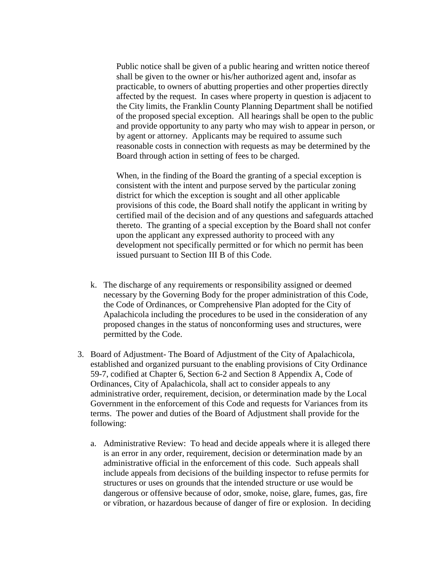Public notice shall be given of a public hearing and written notice thereof shall be given to the owner or his/her authorized agent and, insofar as practicable, to owners of abutting properties and other properties directly affected by the request. In cases where property in question is adjacent to the City limits, the Franklin County Planning Department shall be notified of the proposed special exception. All hearings shall be open to the public and provide opportunity to any party who may wish to appear in person, or by agent or attorney. Applicants may be required to assume such reasonable costs in connection with requests as may be determined by the Board through action in setting of fees to be charged.

When, in the finding of the Board the granting of a special exception is consistent with the intent and purpose served by the particular zoning district for which the exception is sought and all other applicable provisions of this code, the Board shall notify the applicant in writing by certified mail of the decision and of any questions and safeguards attached thereto. The granting of a special exception by the Board shall not confer upon the applicant any expressed authority to proceed with any development not specifically permitted or for which no permit has been issued pursuant to Section III B of this Code.

- k. The discharge of any requirements or responsibility assigned or deemed necessary by the Governing Body for the proper administration of this Code, the Code of Ordinances, or Comprehensive Plan adopted for the City of Apalachicola including the procedures to be used in the consideration of any proposed changes in the status of nonconforming uses and structures, were permitted by the Code.
- 3. Board of Adjustment- The Board of Adjustment of the City of Apalachicola, established and organized pursuant to the enabling provisions of City Ordinance 59-7, codified at Chapter 6, Section 6-2 and Section 8 Appendix A, Code of Ordinances, City of Apalachicola, shall act to consider appeals to any administrative order, requirement, decision, or determination made by the Local Government in the enforcement of this Code and requests for Variances from its terms. The power and duties of the Board of Adjustment shall provide for the following:
	- a. Administrative Review: To head and decide appeals where it is alleged there is an error in any order, requirement, decision or determination made by an administrative official in the enforcement of this code. Such appeals shall include appeals from decisions of the building inspector to refuse permits for structures or uses on grounds that the intended structure or use would be dangerous or offensive because of odor, smoke, noise, glare, fumes, gas, fire or vibration, or hazardous because of danger of fire or explosion. In deciding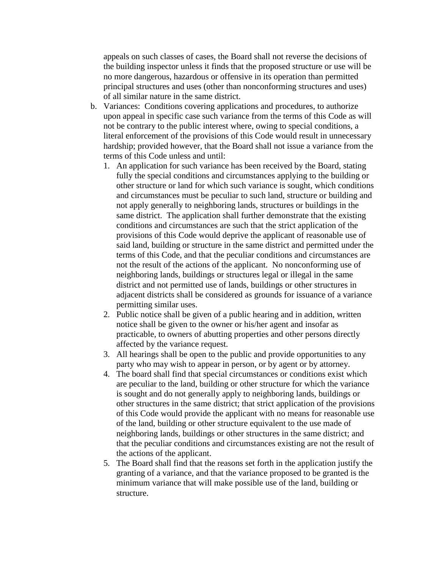appeals on such classes of cases, the Board shall not reverse the decisions of the building inspector unless it finds that the proposed structure or use will be no more dangerous, hazardous or offensive in its operation than permitted principal structures and uses (other than nonconforming structures and uses) of all similar nature in the same district.

- b. Variances: Conditions covering applications and procedures, to authorize upon appeal in specific case such variance from the terms of this Code as will not be contrary to the public interest where, owing to special conditions, a literal enforcement of the provisions of this Code would result in unnecessary hardship; provided however, that the Board shall not issue a variance from the terms of this Code unless and until:
	- 1. An application for such variance has been received by the Board, stating fully the special conditions and circumstances applying to the building or other structure or land for which such variance is sought, which conditions and circumstances must be peculiar to such land, structure or building and not apply generally to neighboring lands, structures or buildings in the same district. The application shall further demonstrate that the existing conditions and circumstances are such that the strict application of the provisions of this Code would deprive the applicant of reasonable use of said land, building or structure in the same district and permitted under the terms of this Code, and that the peculiar conditions and circumstances are not the result of the actions of the applicant. No nonconforming use of neighboring lands, buildings or structures legal or illegal in the same district and not permitted use of lands, buildings or other structures in adjacent districts shall be considered as grounds for issuance of a variance permitting similar uses.
	- 2. Public notice shall be given of a public hearing and in addition, written notice shall be given to the owner or his/her agent and insofar as practicable, to owners of abutting properties and other persons directly affected by the variance request.
	- 3. All hearings shall be open to the public and provide opportunities to any party who may wish to appear in person, or by agent or by attorney.
	- 4. The board shall find that special circumstances or conditions exist which are peculiar to the land, building or other structure for which the variance is sought and do not generally apply to neighboring lands, buildings or other structures in the same district; that strict application of the provisions of this Code would provide the applicant with no means for reasonable use of the land, building or other structure equivalent to the use made of neighboring lands, buildings or other structures in the same district; and that the peculiar conditions and circumstances existing are not the result of the actions of the applicant.
	- 5. The Board shall find that the reasons set forth in the application justify the granting of a variance, and that the variance proposed to be granted is the minimum variance that will make possible use of the land, building or structure.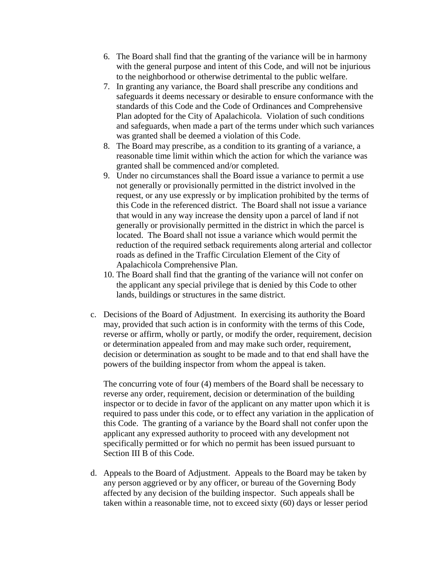- 6. The Board shall find that the granting of the variance will be in harmony with the general purpose and intent of this Code, and will not be injurious to the neighborhood or otherwise detrimental to the public welfare.
- 7. In granting any variance, the Board shall prescribe any conditions and safeguards it deems necessary or desirable to ensure conformance with the standards of this Code and the Code of Ordinances and Comprehensive Plan adopted for the City of Apalachicola. Violation of such conditions and safeguards, when made a part of the terms under which such variances was granted shall be deemed a violation of this Code.
- 8. The Board may prescribe, as a condition to its granting of a variance, a reasonable time limit within which the action for which the variance was granted shall be commenced and/or completed.
- 9. Under no circumstances shall the Board issue a variance to permit a use not generally or provisionally permitted in the district involved in the request, or any use expressly or by implication prohibited by the terms of this Code in the referenced district. The Board shall not issue a variance that would in any way increase the density upon a parcel of land if not generally or provisionally permitted in the district in which the parcel is located. The Board shall not issue a variance which would permit the reduction of the required setback requirements along arterial and collector roads as defined in the Traffic Circulation Element of the City of Apalachicola Comprehensive Plan.
- 10. The Board shall find that the granting of the variance will not confer on the applicant any special privilege that is denied by this Code to other lands, buildings or structures in the same district.
- c. Decisions of the Board of Adjustment. In exercising its authority the Board may, provided that such action is in conformity with the terms of this Code, reverse or affirm, wholly or partly, or modify the order, requirement, decision or determination appealed from and may make such order, requirement, decision or determination as sought to be made and to that end shall have the powers of the building inspector from whom the appeal is taken.

The concurring vote of four (4) members of the Board shall be necessary to reverse any order, requirement, decision or determination of the building inspector or to decide in favor of the applicant on any matter upon which it is required to pass under this code, or to effect any variation in the application of this Code. The granting of a variance by the Board shall not confer upon the applicant any expressed authority to proceed with any development not specifically permitted or for which no permit has been issued pursuant to Section III B of this Code.

d. Appeals to the Board of Adjustment. Appeals to the Board may be taken by any person aggrieved or by any officer, or bureau of the Governing Body affected by any decision of the building inspector. Such appeals shall be taken within a reasonable time, not to exceed sixty (60) days or lesser period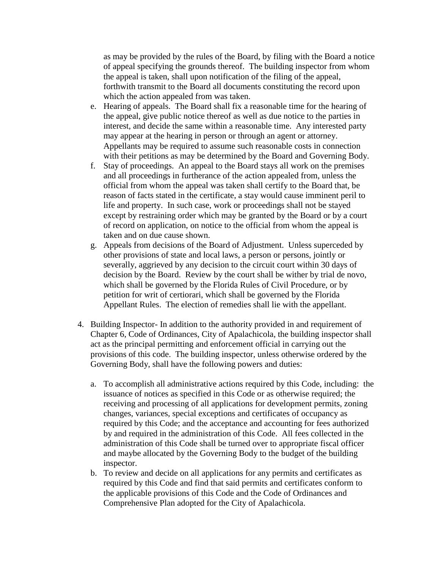as may be provided by the rules of the Board, by filing with the Board a notice of appeal specifying the grounds thereof. The building inspector from whom the appeal is taken, shall upon notification of the filing of the appeal, forthwith transmit to the Board all documents constituting the record upon which the action appealed from was taken.

- e. Hearing of appeals. The Board shall fix a reasonable time for the hearing of the appeal, give public notice thereof as well as due notice to the parties in interest, and decide the same within a reasonable time. Any interested party may appear at the hearing in person or through an agent or attorney. Appellants may be required to assume such reasonable costs in connection with their petitions as may be determined by the Board and Governing Body.
- f. Stay of proceedings. An appeal to the Board stays all work on the premises and all proceedings in furtherance of the action appealed from, unless the official from whom the appeal was taken shall certify to the Board that, be reason of facts stated in the certificate, a stay would cause imminent peril to life and property. In such case, work or proceedings shall not be stayed except by restraining order which may be granted by the Board or by a court of record on application, on notice to the official from whom the appeal is taken and on due cause shown.
- g. Appeals from decisions of the Board of Adjustment. Unless superceded by other provisions of state and local laws, a person or persons, jointly or severally, aggrieved by any decision to the circuit court within 30 days of decision by the Board. Review by the court shall be wither by trial de novo, which shall be governed by the Florida Rules of Civil Procedure, or by petition for writ of certiorari, which shall be governed by the Florida Appellant Rules. The election of remedies shall lie with the appellant.
- 4. Building Inspector- In addition to the authority provided in and requirement of Chapter 6, Code of Ordinances, City of Apalachicola, the building inspector shall act as the principal permitting and enforcement official in carrying out the provisions of this code. The building inspector, unless otherwise ordered by the Governing Body, shall have the following powers and duties:
	- a. To accomplish all administrative actions required by this Code, including: the issuance of notices as specified in this Code or as otherwise required; the receiving and processing of all applications for development permits, zoning changes, variances, special exceptions and certificates of occupancy as required by this Code; and the acceptance and accounting for fees authorized by and required in the administration of this Code. All fees collected in the administration of this Code shall be turned over to appropriate fiscal officer and maybe allocated by the Governing Body to the budget of the building inspector.
	- b. To review and decide on all applications for any permits and certificates as required by this Code and find that said permits and certificates conform to the applicable provisions of this Code and the Code of Ordinances and Comprehensive Plan adopted for the City of Apalachicola.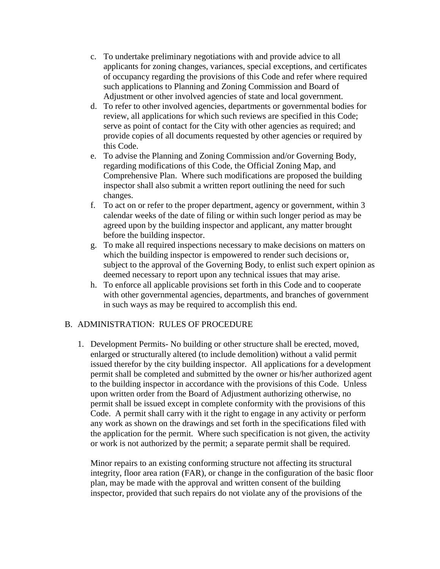- c. To undertake preliminary negotiations with and provide advice to all applicants for zoning changes, variances, special exceptions, and certificates of occupancy regarding the provisions of this Code and refer where required such applications to Planning and Zoning Commission and Board of Adjustment or other involved agencies of state and local government.
- d. To refer to other involved agencies, departments or governmental bodies for review, all applications for which such reviews are specified in this Code; serve as point of contact for the City with other agencies as required; and provide copies of all documents requested by other agencies or required by this Code.
- e. To advise the Planning and Zoning Commission and/or Governing Body, regarding modifications of this Code, the Official Zoning Map, and Comprehensive Plan. Where such modifications are proposed the building inspector shall also submit a written report outlining the need for such changes.
- f. To act on or refer to the proper department, agency or government, within 3 calendar weeks of the date of filing or within such longer period as may be agreed upon by the building inspector and applicant, any matter brought before the building inspector.
- g. To make all required inspections necessary to make decisions on matters on which the building inspector is empowered to render such decisions or, subject to the approval of the Governing Body, to enlist such expert opinion as deemed necessary to report upon any technical issues that may arise.
- h. To enforce all applicable provisions set forth in this Code and to cooperate with other governmental agencies, departments, and branches of government in such ways as may be required to accomplish this end.

# B. ADMINISTRATION: RULES OF PROCEDURE

1. Development Permits- No building or other structure shall be erected, moved, enlarged or structurally altered (to include demolition) without a valid permit issued therefor by the city building inspector. All applications for a development permit shall be completed and submitted by the owner or his/her authorized agent to the building inspector in accordance with the provisions of this Code. Unless upon written order from the Board of Adjustment authorizing otherwise, no permit shall be issued except in complete conformity with the provisions of this Code. A permit shall carry with it the right to engage in any activity or perform any work as shown on the drawings and set forth in the specifications filed with the application for the permit. Where such specification is not given, the activity or work is not authorized by the permit; a separate permit shall be required.

Minor repairs to an existing conforming structure not affecting its structural integrity, floor area ration (FAR), or change in the configuration of the basic floor plan, may be made with the approval and written consent of the building inspector, provided that such repairs do not violate any of the provisions of the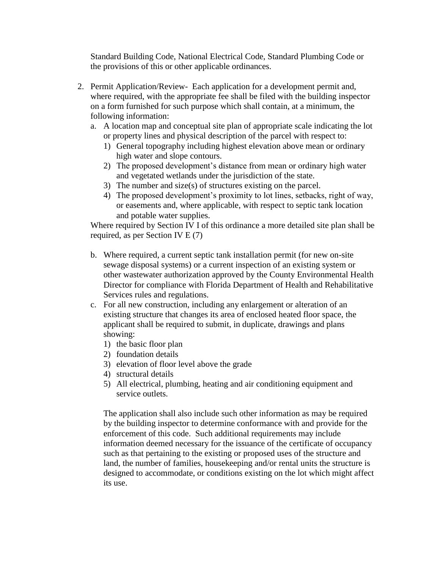Standard Building Code, National Electrical Code, Standard Plumbing Code or the provisions of this or other applicable ordinances.

- 2. Permit Application/Review- Each application for a development permit and, where required, with the appropriate fee shall be filed with the building inspector on a form furnished for such purpose which shall contain, at a minimum, the following information:
	- a. A location map and conceptual site plan of appropriate scale indicating the lot or property lines and physical description of the parcel with respect to:
		- 1) General topography including highest elevation above mean or ordinary high water and slope contours.
		- 2) The proposed development's distance from mean or ordinary high water and vegetated wetlands under the jurisdiction of the state.
		- 3) The number and size(s) of structures existing on the parcel.
		- 4) The proposed development's proximity to lot lines, setbacks, right of way, or easements and, where applicable, with respect to septic tank location and potable water supplies.

Where required by Section IV I of this ordinance a more detailed site plan shall be required, as per Section IV E (7)

- b. Where required, a current septic tank installation permit (for new on-site sewage disposal systems) or a current inspection of an existing system or other wastewater authorization approved by the County Environmental Health Director for compliance with Florida Department of Health and Rehabilitative Services rules and regulations.
- c. For all new construction, including any enlargement or alteration of an existing structure that changes its area of enclosed heated floor space, the applicant shall be required to submit, in duplicate, drawings and plans showing:
	- 1) the basic floor plan
	- 2) foundation details
	- 3) elevation of floor level above the grade
	- 4) structural details
	- 5) All electrical, plumbing, heating and air conditioning equipment and service outlets.

The application shall also include such other information as may be required by the building inspector to determine conformance with and provide for the enforcement of this code. Such additional requirements may include information deemed necessary for the issuance of the certificate of occupancy such as that pertaining to the existing or proposed uses of the structure and land, the number of families, housekeeping and/or rental units the structure is designed to accommodate, or conditions existing on the lot which might affect its use.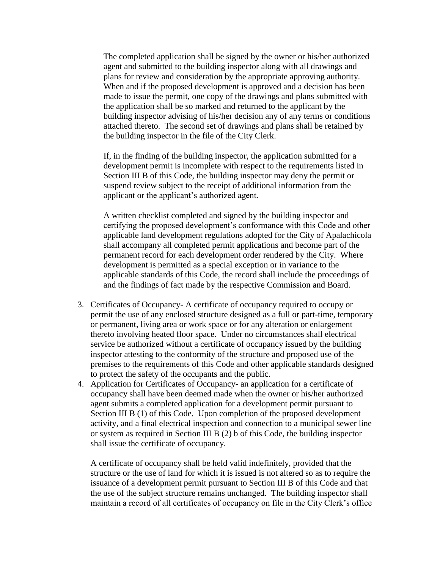The completed application shall be signed by the owner or his/her authorized agent and submitted to the building inspector along with all drawings and plans for review and consideration by the appropriate approving authority. When and if the proposed development is approved and a decision has been made to issue the permit, one copy of the drawings and plans submitted with the application shall be so marked and returned to the applicant by the building inspector advising of his/her decision any of any terms or conditions attached thereto. The second set of drawings and plans shall be retained by the building inspector in the file of the City Clerk.

If, in the finding of the building inspector, the application submitted for a development permit is incomplete with respect to the requirements listed in Section III B of this Code, the building inspector may deny the permit or suspend review subject to the receipt of additional information from the applicant or the applicant's authorized agent.

A written checklist completed and signed by the building inspector and certifying the proposed development's conformance with this Code and other applicable land development regulations adopted for the City of Apalachicola shall accompany all completed permit applications and become part of the permanent record for each development order rendered by the City. Where development is permitted as a special exception or in variance to the applicable standards of this Code, the record shall include the proceedings of and the findings of fact made by the respective Commission and Board.

- 3. Certificates of Occupancy- A certificate of occupancy required to occupy or permit the use of any enclosed structure designed as a full or part-time, temporary or permanent, living area or work space or for any alteration or enlargement thereto involving heated floor space. Under no circumstances shall electrical service be authorized without a certificate of occupancy issued by the building inspector attesting to the conformity of the structure and proposed use of the premises to the requirements of this Code and other applicable standards designed to protect the safety of the occupants and the public.
- 4. Application for Certificates of Occupancy- an application for a certificate of occupancy shall have been deemed made when the owner or his/her authorized agent submits a completed application for a development permit pursuant to Section III B (1) of this Code. Upon completion of the proposed development activity, and a final electrical inspection and connection to a municipal sewer line or system as required in Section III B (2) b of this Code, the building inspector shall issue the certificate of occupancy.

A certificate of occupancy shall be held valid indefinitely, provided that the structure or the use of land for which it is issued is not altered so as to require the issuance of a development permit pursuant to Section III B of this Code and that the use of the subject structure remains unchanged. The building inspector shall maintain a record of all certificates of occupancy on file in the City Clerk's office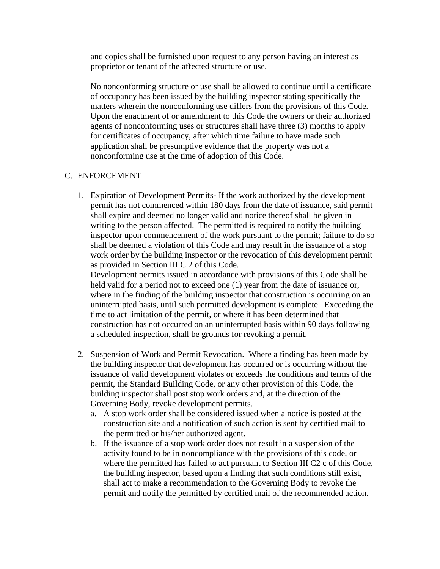and copies shall be furnished upon request to any person having an interest as proprietor or tenant of the affected structure or use.

No nonconforming structure or use shall be allowed to continue until a certificate of occupancy has been issued by the building inspector stating specifically the matters wherein the nonconforming use differs from the provisions of this Code. Upon the enactment of or amendment to this Code the owners or their authorized agents of nonconforming uses or structures shall have three (3) months to apply for certificates of occupancy, after which time failure to have made such application shall be presumptive evidence that the property was not a nonconforming use at the time of adoption of this Code.

### C. ENFORCEMENT

1. Expiration of Development Permits- If the work authorized by the development permit has not commenced within 180 days from the date of issuance, said permit shall expire and deemed no longer valid and notice thereof shall be given in writing to the person affected. The permitted is required to notify the building inspector upon commencement of the work pursuant to the permit; failure to do so shall be deemed a violation of this Code and may result in the issuance of a stop work order by the building inspector or the revocation of this development permit as provided in Section III C 2 of this Code.

Development permits issued in accordance with provisions of this Code shall be held valid for a period not to exceed one (1) year from the date of issuance or, where in the finding of the building inspector that construction is occurring on an uninterrupted basis, until such permitted development is complete. Exceeding the time to act limitation of the permit, or where it has been determined that construction has not occurred on an uninterrupted basis within 90 days following a scheduled inspection, shall be grounds for revoking a permit.

- 2. Suspension of Work and Permit Revocation. Where a finding has been made by the building inspector that development has occurred or is occurring without the issuance of valid development violates or exceeds the conditions and terms of the permit, the Standard Building Code, or any other provision of this Code, the building inspector shall post stop work orders and, at the direction of the Governing Body, revoke development permits.
	- a. A stop work order shall be considered issued when a notice is posted at the construction site and a notification of such action is sent by certified mail to the permitted or his/her authorized agent.
	- b. If the issuance of a stop work order does not result in a suspension of the activity found to be in noncompliance with the provisions of this code, or where the permitted has failed to act pursuant to Section III C2 c of this Code, the building inspector, based upon a finding that such conditions still exist, shall act to make a recommendation to the Governing Body to revoke the permit and notify the permitted by certified mail of the recommended action.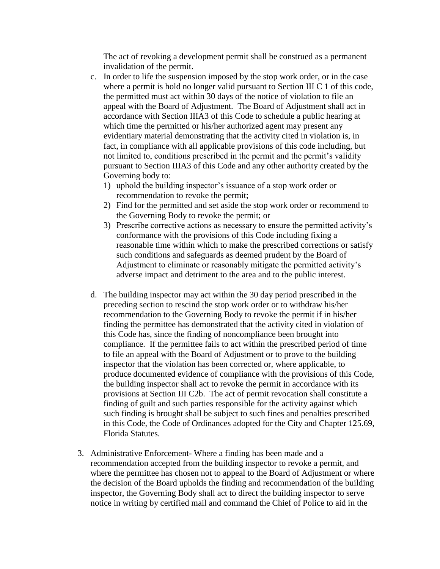The act of revoking a development permit shall be construed as a permanent invalidation of the permit.

- c. In order to life the suspension imposed by the stop work order, or in the case where a permit is hold no longer valid pursuant to Section III C 1 of this code, the permitted must act within 30 days of the notice of violation to file an appeal with the Board of Adjustment. The Board of Adjustment shall act in accordance with Section IIIA3 of this Code to schedule a public hearing at which time the permitted or his/her authorized agent may present any evidentiary material demonstrating that the activity cited in violation is, in fact, in compliance with all applicable provisions of this code including, but not limited to, conditions prescribed in the permit and the permit's validity pursuant to Section IIIA3 of this Code and any other authority created by the Governing body to:
	- 1) uphold the building inspector's issuance of a stop work order or recommendation to revoke the permit;
	- 2) Find for the permitted and set aside the stop work order or recommend to the Governing Body to revoke the permit; or
	- 3) Prescribe corrective actions as necessary to ensure the permitted activity's conformance with the provisions of this Code including fixing a reasonable time within which to make the prescribed corrections or satisfy such conditions and safeguards as deemed prudent by the Board of Adjustment to eliminate or reasonably mitigate the permitted activity's adverse impact and detriment to the area and to the public interest.
- d. The building inspector may act within the 30 day period prescribed in the preceding section to rescind the stop work order or to withdraw his/her recommendation to the Governing Body to revoke the permit if in his/her finding the permittee has demonstrated that the activity cited in violation of this Code has, since the finding of noncompliance been brought into compliance. If the permittee fails to act within the prescribed period of time to file an appeal with the Board of Adjustment or to prove to the building inspector that the violation has been corrected or, where applicable, to produce documented evidence of compliance with the provisions of this Code, the building inspector shall act to revoke the permit in accordance with its provisions at Section III C2b. The act of permit revocation shall constitute a finding of guilt and such parties responsible for the activity against which such finding is brought shall be subject to such fines and penalties prescribed in this Code, the Code of Ordinances adopted for the City and Chapter 125.69, Florida Statutes.
- 3. Administrative Enforcement- Where a finding has been made and a recommendation accepted from the building inspector to revoke a permit, and where the permittee has chosen not to appeal to the Board of Adjustment or where the decision of the Board upholds the finding and recommendation of the building inspector, the Governing Body shall act to direct the building inspector to serve notice in writing by certified mail and command the Chief of Police to aid in the